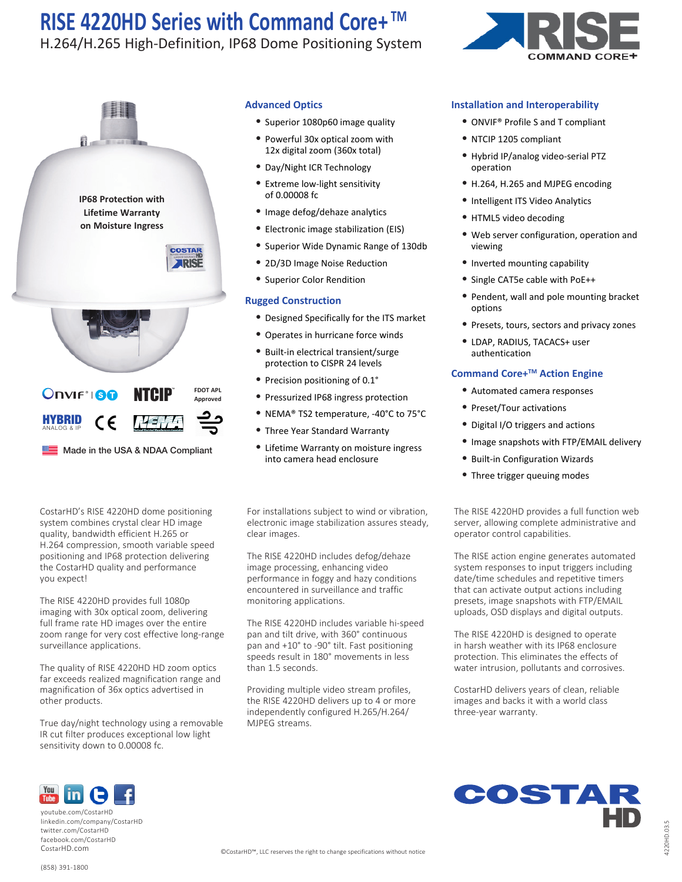### H.264/H.265 High-Definition, IP68 Dome Positioning System



Made in the USA & NDAA Compliant

ANALOG & IP

CostarHD's RISE 4220HD dome positioning system combines crystal clear HD image quality, bandwidth efficient H.265 or H.264 compression, smooth variable speed positioning and IP68 protection delivering the CostarHD quality and performance you expect!

The RISE 4220HD provides full 1080p imaging with 30x optical zoom, delivering full frame rate HD images over the entire zoom range for very cost effective long-range surveillance applications.

The quality of RISE 4220HD HD zoom optics far exceeds realized magnification range and magnification of 36x optics advertised in other products.

True day/night technology using a removable IR cut filter produces exceptional low light sensitivity down to 0.00008 fc.

#### **Advanced Optics**

- Superior 1080p60 image quality
- Powerful 30x optical zoom with 12x digital zoom (360x total)
- Day/Night ICR Technology
- Extreme low-light sensitivity of 0.00008 fc
- Image defog/dehaze analytics
- Electronic image stabilization (EIS)
- Superior Wide Dynamic Range of 130db
- 2D/3D Image Noise Reduction
- Superior Color Rendition

#### **Rugged Construction**

- Designed Specifically for the ITS market
- Operates in hurricane force winds
- Built-in electrical transient/surge protection to CISPR 24 levels
- Precision positioning of 0.1°
- Pressurized IP68 ingress protection
- NEMA® TS2 temperature, -40°C to 75°C
- Three Year Standard Warranty
- Lifetime Warranty on moisture ingress into camera head enclosure

For installations subject to wind or vibration, electronic image stabilization assures steady, clear images.

The RISE 4220HD includes defog/dehaze image processing, enhancing video performance in foggy and hazy conditions encountered in surveillance and traffic monitoring applications.

The RISE 4220HD includes variable hi-speed pan and tilt drive, with 360° continuous pan and +10° to -90° tilt. Fast positioning speeds result in 180° movements in less than 1.5 seconds.

Providing multiple video stream profiles, the RISE 4220HD delivers up to 4 or more independently configured H.265/H.264/ MJPEG streams.



### **Installation and Interoperability**

- ONVIF® Profile S and T compliant
- NTCIP 1205 compliant
- Hybrid IP/analog video-serial PTZ operation
- H.264, H.265 and MJPEG encoding
- Intelligent ITS Video Analytics
- HTML5 video decoding
- Web server configuration, operation and viewing
- Inverted mounting capability
- Single CAT5e cable with PoE++
- Pendent, wall and pole mounting bracket options
- Presets, tours, sectors and privacy zones
- LDAP, RADIUS, TACACS+ user authentication

### **Command Core+TM Action Engine**

- Automated camera responses
- Preset/Tour activations
- Digital I/O triggers and actions
- Image snapshots with FTP/EMAIL delivery
- Built-in Configuration Wizards
- Three trigger queuing modes

The RISE 4220HD provides a full function web server, allowing complete administrative and operator control capabilities.

The RISE action engine generates automated system responses to input triggers including date/time schedules and repetitive timers that can activate output actions including presets, image snapshots with FTP/EMAIL uploads, OSD displays and digital outputs.

The RISE 4220HD is designed to operate in harsh weather with its IP68 enclosure protection. This eliminates the effects of water intrusion, pollutants and corrosives.

CostarHD delivers years of clean, reliable images and backs it with a world class three-year warranty.



linkedin.com/company/CostarHD twitter.com/CostarHD facebook.com/CostarHD CostarHD.com

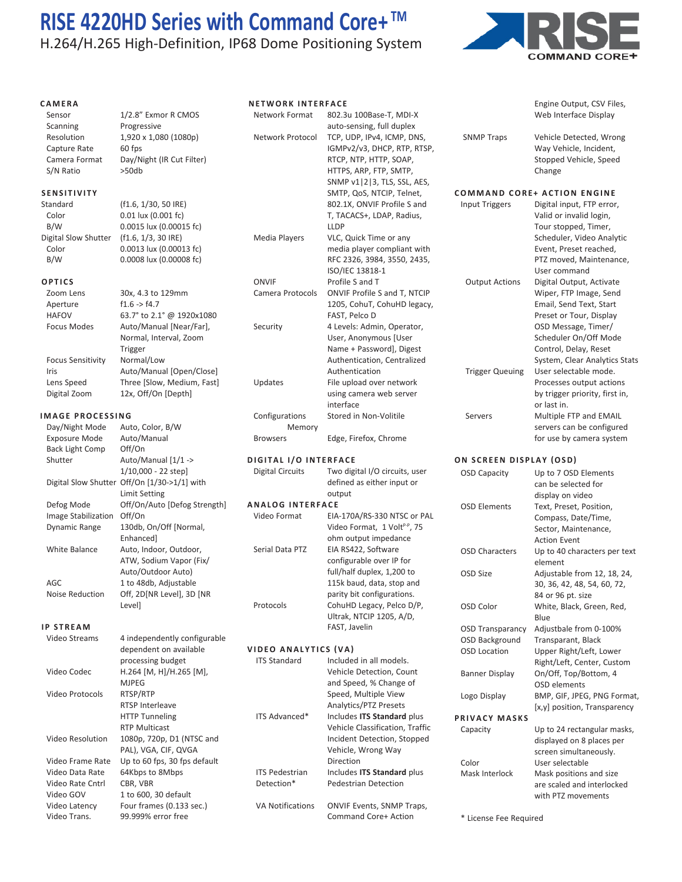H.264/H.265 High-Definition, IP68 Dome Positioning System



Engine Output, CSV Files,

#### **CAMERA**

Sensor 1/2.8" Exmor R CMOS Scanning Progressive Resolution 1,920 x 1,080 (1080p) Capture Rate 60 fps Camera Format Day/Night (IR Cut Filter)<br>S/N Ratio > > 50db

#### **SENSITIVITY**

S/N Ratio

Standard (f1.6, 1/30, 50 IRE) Color 0.01 lux (0.001 fc) B/W 0.0015 lux (0.00015 fc) Digital Slow Shutter (f1.6, 1/3, 30 IRE) Color 0.0013 lux (0.00013 fc) B/W 0.0008 lux (0.00008 fc)

#### **OPTICS**

| Zoom Lens                | 30x, 4.3 to 129mm          |
|--------------------------|----------------------------|
| Aperture                 | f1.6 > f4.7                |
| <b>HAFOV</b>             | 63.7° to 2.1° @ 1920x1080  |
| Focus Modes              | Auto/Manual [Near/Far],    |
|                          | Normal, Interval, Zoom     |
|                          | Trigger                    |
| <b>Focus Sensitivity</b> | Normal/Low                 |
| Iris                     | Auto/Manual [Open/Close]   |
| Lens Speed               | Three [Slow, Medium, Fast] |
| Digital Zoom             | 12x, Off/On [Depth]        |

#### **IMAGE PROCESSING**

| Day/Night Mode             | Auto, Color, B/W             |
|----------------------------|------------------------------|
| <b>Exposure Mode</b>       | Auto/Manual                  |
| <b>Back Light Comp</b>     | Off/On                       |
| Shutter                    | Auto/Manual [1/1 ->          |
|                            | 1/10,000 - 22 step]          |
| Digital Slow Shutter       | Off/On [1/30->1/1] with      |
|                            | Limit Setting                |
| Defog Mode                 | Off/On/Auto [Defog Strength] |
| <b>Image Stabilization</b> | Off/On                       |
| Dynamic Range              | 130db, On/Off [Normal,       |
|                            | Enhanced]                    |
| White Balance              | Auto, Indoor, Outdoor,       |
|                            | ATW, Sodium Vapor (Fix/      |
|                            | Auto/Outdoor Auto)           |
| AGC                        | 1 to 48db, Adjustable        |
| <b>Noise Reduction</b>     | Off, 2D[NR Level], 3D [NR    |
|                            | Levell                       |

#### **IP STREAM**

| Video Streams    | 4 independently configurable |                         |                                  | OSD Background        |
|------------------|------------------------------|-------------------------|----------------------------------|-----------------------|
|                  | dependent on available       | VIDEO ANALYTICS (VA)    |                                  | <b>OSD Location</b>   |
|                  | processing budget            | <b>ITS Standard</b>     | Included in all models.          |                       |
| Video Codec      | $H.264$ [M, H]/H.265 [M],    |                         | Vehicle Detection, Count         | <b>Banner Display</b> |
|                  | <b>MJPEG</b>                 |                         | and Speed, % Change of           |                       |
| Video Protocols  | RTSP/RTP                     |                         | Speed, Multiple View             | Logo Display          |
|                  | RTSP Interleave              |                         | Analytics/PTZ Presets            |                       |
|                  | <b>HTTP Tunneling</b>        | ITS Advanced*           | Includes ITS Standard plus       | PRIVACY MASKS         |
|                  | <b>RTP Multicast</b>         |                         | Vehicle Classification, Traffic  | Capacity              |
| Video Resolution | 1080p, 720p, D1 (NTSC and    |                         | Incident Detection, Stopped      |                       |
|                  | PAL), VGA, CIF, QVGA         |                         | Vehicle, Wrong Way               |                       |
| Video Frame Rate | Up to 60 fps, 30 fps default |                         | <b>Direction</b>                 | Color                 |
| Video Data Rate  | 64Kbps to 8Mbps              | <b>ITS Pedestrian</b>   | Includes ITS Standard plus       | Mask Interlock        |
| Video Rate Cntrl | CBR, VBR                     | Detection*              | <b>Pedestrian Detection</b>      |                       |
| Video GOV        | 1 to 600, 30 default         |                         |                                  |                       |
| Video Latency    | Four frames (0.133 sec.)     | <b>VA Notifications</b> | <b>ONVIF Events, SNMP Traps,</b> |                       |
| Video Trans.     | 99.999% error free           |                         | Command Core+ Action             | * License Fee Requi   |
|                  |                              |                         |                                  |                       |

| <b>NETWORK INTERFACE</b>     |                                                    |  |  |  |  |
|------------------------------|----------------------------------------------------|--|--|--|--|
| <b>Network Format</b>        | 802.3u 100Base-T, MDI-X                            |  |  |  |  |
|                              | auto-sensing, full duplex                          |  |  |  |  |
| Network Protocol             | TCP, UDP, IPv4, ICMP, DNS,                         |  |  |  |  |
|                              | IGMPv2/v3, DHCP, RTP, RTSP,                        |  |  |  |  |
|                              | RTCP, NTP, HTTP, SOAP,                             |  |  |  |  |
|                              | HTTPS, ARP, FTP, SMTP,                             |  |  |  |  |
|                              | SNMP v1   2   3, TLS, SSL, AES,                    |  |  |  |  |
|                              | SMTP, QoS, NTCIP, Telnet,                          |  |  |  |  |
|                              | 802.1X, ONVIF Profile S and                        |  |  |  |  |
|                              | T, TACACS+, LDAP, Radius,                          |  |  |  |  |
|                              | LLDP                                               |  |  |  |  |
| Media Players                | VLC, Quick Time or any                             |  |  |  |  |
|                              | media player compliant with                        |  |  |  |  |
|                              | RFC 2326, 3984, 3550, 2435,                        |  |  |  |  |
|                              | ISO/IEC 13818-1                                    |  |  |  |  |
| ONVIF                        | Profile S and T                                    |  |  |  |  |
| Camera Protocols             | ONVIF Profile S and T, NTCIP                       |  |  |  |  |
|                              | 1205, CohuT, CohuHD legacy,                        |  |  |  |  |
|                              | FAST, Pelco D                                      |  |  |  |  |
| Security                     | 4 Levels: Admin, Operator,                         |  |  |  |  |
|                              | User, Anonymous [User                              |  |  |  |  |
|                              | Name + Password], Digest                           |  |  |  |  |
|                              | Authentication, Centralized                        |  |  |  |  |
|                              | Authentication                                     |  |  |  |  |
| Updates                      | File upload over network                           |  |  |  |  |
|                              | using camera web server                            |  |  |  |  |
|                              | interface                                          |  |  |  |  |
| Configurations<br>Memory     | Stored in Non-Volitile                             |  |  |  |  |
| <b>Browsers</b>              | Edge, Firefox, Chrome                              |  |  |  |  |
| <b>DIGITAL I/O INTERFACE</b> |                                                    |  |  |  |  |
| Digital Circuits             | Two digital I/O circuits, user                     |  |  |  |  |
|                              | defined as either input or                         |  |  |  |  |
|                              | output                                             |  |  |  |  |
| <b>ANALOG INTERFACE</b>      |                                                    |  |  |  |  |
| Video Format                 | EIA-170A/RS-330 NTSC or PAL                        |  |  |  |  |
|                              | Video Format, 1 Volt <sup>P-P</sup> , 75           |  |  |  |  |
|                              | ohm output impedance                               |  |  |  |  |
| Serial Data PTZ              | EIA RS422, Software                                |  |  |  |  |
|                              | configurable over IP for                           |  |  |  |  |
|                              | full/half duplex, 1,200 to                         |  |  |  |  |
|                              | 115k baud, data, stop and                          |  |  |  |  |
|                              | parity bit configurations.                         |  |  |  |  |
| Protocols                    | CohuHD Legacy, Pelco D/P,                          |  |  |  |  |
|                              | Ultrak, NTCIP 1205, A/D,                           |  |  |  |  |
|                              | FAST, Javelin                                      |  |  |  |  |
|                              |                                                    |  |  |  |  |
| VIDEO ANALYTICS (VA)         |                                                    |  |  |  |  |
| <b>ITS Standard</b>          | Included in all models.<br>Vehicle Detection Count |  |  |  |  |
|                              |                                                    |  |  |  |  |

 Web Interface Display SNMP Traps Vehicle Detected, Wrong Way Vehicle, Incident, Stopped Vehicle, Speed Change **COMMAND CORE+ ACTION ENGINE** Input Triggers Digital input, FTP error, Valid or invalid login, Tour stopped, Timer, Scheduler, Video Analytic Event, Preset reached, PTZ moved, Maintenance, User command Output Actions Digital Output, Activate Wiper, FTP Image, Send Email, Send Text, Start Preset or Tour, Display OSD Message, Timer/ Scheduler On/Off Mode Control, Delay, Reset System, Clear Analytics Stats Trigger Queuing User selectable mode. Processes output actions by trigger priority, first in,

or last in.<br>Servers Multiple F Multiple FTP and EMAIL servers can be configured for use by camera system

#### **ON SCREEN DISPLAY (OSD)**

| <b>OSD Capacity</b>     | Up to 7 OSD Elements                    |
|-------------------------|-----------------------------------------|
|                         | can be selected for                     |
|                         | display on video                        |
| <b>OSD Elements</b>     | Text, Preset, Position,                 |
|                         | Compass, Date/Time,                     |
|                         | Sector, Maintenance,                    |
|                         | <b>Action Event</b>                     |
| <b>OSD Characters</b>   | Up to 40 characters per text<br>element |
| OSD Size                | Adjustable from 12, 18, 24,             |
|                         | 30, 36, 42, 48, 54, 60, 72,             |
|                         | 84 or 96 pt. size                       |
| OSD Color               | White, Black, Green, Red,               |
|                         | Blue                                    |
| <b>OSD Transparancy</b> | Adjustbale from 0-100%                  |
| OSD Background          | Transparant, Black                      |
| <b>OSD Location</b>     | Upper Right/Left, Lower                 |
|                         | Right/Left, Center, Custom              |
| <b>Banner Display</b>   | On/Off, Top/Bottom, 4                   |
|                         | OSD elements                            |
| Logo Display            | BMP, GIF, JPEG, PNG Format,             |
|                         | [x,y] position, Transparency            |
| PRIVACY MASKS           |                                         |
| Capacity                | Up to 24 rectangular masks,             |
|                         | displayed on 8 places per               |
|                         | screen simultaneously.                  |
| Color                   | User selectable                         |
| Mask Interlock          | Mask positions and size                 |
|                         | are scaled and interlocked              |
|                         | with PTZ movements                      |

License Fee Required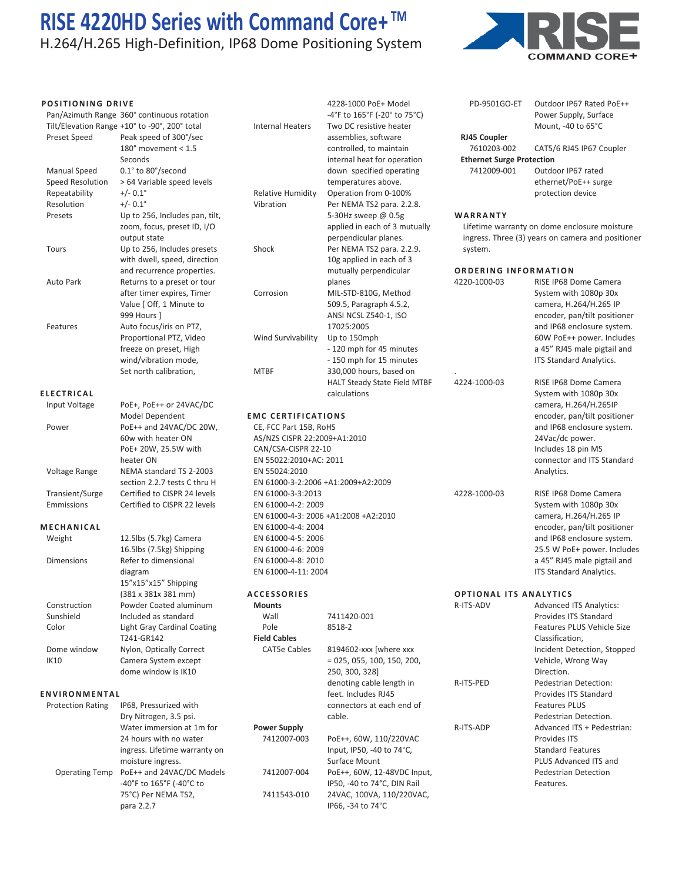# H.264/H.265 High-Definition, IP68 Dome Positioning System



| <b>POSITIONING DRIVE</b>                          | Pan/Azimuth Range 360° continuous rotation<br>Tilt/Elevation Range +10° to -90°, 200° total                                    | <b>Internal Heaters</b>                                                                                 | 4228-1000 PoE+ Model<br>-4°F to 165°F (-20° to 75°C)<br>Two DC resistive heater                               | PD-9501GO-ET                                    | Outdoor IP67 Rated PoE++<br>Power Supply, Surface<br>Mount, -40 to 65°C                                           |
|---------------------------------------------------|--------------------------------------------------------------------------------------------------------------------------------|---------------------------------------------------------------------------------------------------------|---------------------------------------------------------------------------------------------------------------|-------------------------------------------------|-------------------------------------------------------------------------------------------------------------------|
| Preset Speed                                      | Peak speed of 300°/sec<br>180 $^{\circ}$ movement < 1.5                                                                        |                                                                                                         | assemblies, software<br>controlled, to maintain                                                               | RJ45 Coupler<br>7610203-002                     | CAT5/6 RJ45 IP67 Coupler                                                                                          |
| Manual Speed<br>Speed Resolution<br>Repeatability | Seconds<br>0.1° to 80°/second<br>> 64 Variable speed levels<br>$+/- 0.1^{\circ}$<br>$+/- 0.1^{\circ}$                          | <b>Relative Humidity</b>                                                                                | internal heat for operation<br>down specified operating<br>temperatures above.<br>Operation from 0-100%       | <b>Ethernet Surge Protection</b><br>7412009-001 | Outdoor IP67 rated<br>ethernet/PoE++ surge<br>protection device                                                   |
| Resolution<br>Presets                             | Up to 256, Includes pan, tilt,<br>zoom, focus, preset ID, I/O<br>output state                                                  | Vibration                                                                                               | Per NEMA TS2 para. 2.2.8.<br>5-30Hz sweep @ 0.5g<br>applied in each of 3 mutually<br>perpendicular planes.    | WARRANTY                                        | Lifetime warranty on dome enclosure moisture<br>ingress. Three (3) years on camera and positioner                 |
| Tours                                             | Up to 256, Includes presets<br>with dwell, speed, direction<br>and recurrence properties.                                      | Shock                                                                                                   | Per NEMA TS2 para. 2.2.9.<br>10g applied in each of 3<br>mutually perpendicular                               | system.<br><b>ORDERING INFORMATION</b>          |                                                                                                                   |
| Auto Park                                         | Returns to a preset or tour<br>after timer expires, Timer<br>Value   Off, 1 Minute to<br>999 Hours 1                           | Corrosion                                                                                               | planes<br>MIL-STD-810G, Method<br>509.5, Paragraph 4.5.2,<br>ANSI NCSL Z540-1, ISO                            | 4220-1000-03                                    | RISE IP68 Dome Camera<br>System with 1080p 30x<br>camera, H.264/H.265 IP<br>encoder, pan/tilt positioner          |
| Features                                          | Auto focus/iris on PTZ,<br>Proportional PTZ, Video<br>freeze on preset, High<br>wind/vibration mode,<br>Set north calibration, | Wind Survivability<br><b>MTBF</b>                                                                       | 17025:2005<br>Up to 150mph<br>- 120 mph for 45 minutes<br>- 150 mph for 15 minutes<br>330,000 hours, based on |                                                 | and IP68 enclosure system.<br>60W PoE++ power. Includes<br>a 45" RJ45 male pigtail and<br>ITS Standard Analytics. |
| <b>ELECTRICAL</b>                                 |                                                                                                                                |                                                                                                         | HALT Steady State Field MTBF                                                                                  | 4224-1000-03                                    | RISE IP68 Dome Camera<br>System with 1080p 30x                                                                    |
| Input Voltage                                     | PoE+, PoE++ or 24VAC/DC<br>Model Dependent                                                                                     | <b>EMC CERTIFICATIONS</b>                                                                               | calculations                                                                                                  |                                                 | camera, H.264/H.265IP<br>encoder, pan/tilt positioner                                                             |
| Power                                             | PoE++ and 24VAC/DC 20W,<br>60w with heater ON<br>PoE+ 20W, 25.5W with<br>heater ON                                             | CE, FCC Part 15B, RoHS<br>AS/NZS CISPR 22:2009+A1:2010<br>CAN/CSA-CISPR 22-10<br>EN 55022:2010+AC: 2011 |                                                                                                               |                                                 | and IP68 enclosure system.<br>24Vac/dc power.<br>Includes 18 pin MS<br>connector and ITS Standard                 |
| Voltage Range                                     | NEMA standard TS 2-2003<br>section 2.2.7 tests C thru H                                                                        | EN 55024:2010<br>EN 61000-3-2:2006 +A1:2009+A2:2009                                                     |                                                                                                               |                                                 | Analytics.                                                                                                        |
| Transient/Surge<br>Emmissions                     | Certified to CISPR 24 levels<br>Certified to CISPR 22 levels                                                                   | EN 61000-3-3:2013<br>EN 61000-4-2: 2009<br>EN 61000-4-3: 2006 +A1:2008 +A2:2010                         |                                                                                                               | 4228-1000-03                                    | RISE IP68 Dome Camera<br>System with 1080p 30x<br>camera, H.264/H.265 IP                                          |
| <b>MECHANICAL</b><br>Weight                       | 12.5lbs (5.7kg) Camera<br>16.5lbs (7.5kg) Shipping                                                                             | EN 61000-4-4: 2004<br>EN 61000-4-5: 2006                                                                |                                                                                                               |                                                 | encoder, pan/tilt positioner<br>and IP68 enclosure system.<br>25.5 W PoE+ power. Includes                         |
| <b>Dimensions</b>                                 | Refer to dimensional<br>diagram<br>15"x15"x15" Shipping                                                                        | EN 61000-4-6: 2009<br>EN 61000-4-8: 2010<br>EN 61000-4-11: 2004                                         |                                                                                                               |                                                 | a 45" RJ45 male pigtail and<br>ITS Standard Analytics.                                                            |
| Construction<br>Sunshield<br>Color                | (381 x 381x 381 mm)<br>Powder Coated aluminum<br>Included as standard<br><b>Light Gray Cardinal Coating</b>                    | <b>ACCESSORIES</b><br><b>Mounts</b><br>Wall<br>Pole                                                     | 7411420-001<br>8518-2                                                                                         | <b>OPTIONAL ITS ANALYTICS</b><br>R-ITS-ADV      | <b>Advanced ITS Analytics:</b><br>Provides ITS Standard<br>Features PLUS Vehicle Size                             |
| Dome window<br>IK10                               | T241-GR142<br>Nylon, Optically Correct<br>Camera System except<br>dome window is IK10                                          | <b>Field Cables</b><br><b>CAT5e Cables</b>                                                              | 8194602-xxx [where xxx<br>$= 025, 055, 100, 150, 200,$<br>250, 300, 328]                                      |                                                 | Classification,<br>Incident Detection, Stopped<br>Vehicle, Wrong Way<br>Direction.                                |
| ENVIRONMENTAL                                     |                                                                                                                                |                                                                                                         | denoting cable length in<br>feet. Includes RJ45                                                               | R-ITS-PED                                       | Pedestrian Detection:<br>Provides ITS Standard                                                                    |
| <b>Protection Rating</b>                          | IP68, Pressurized with<br>Dry Nitrogen, 3.5 psi.                                                                               |                                                                                                         | connectors at each end of<br>cable.                                                                           |                                                 | <b>Features PLUS</b><br>Pedestrian Detection.                                                                     |
|                                                   | Water immersion at 1m for<br>24 hours with no water<br>ingress. Lifetime warranty on<br>moisture ingress.                      | <b>Power Supply</b><br>7412007-003                                                                      | PoE++, 60W, 110/220VAC<br>Input, IP50, -40 to 74°C,<br>Surface Mount                                          | R-ITS-ADP                                       | Advanced ITS + Pedestrian:<br>Provides ITS<br><b>Standard Features</b><br>PLUS Advanced ITS and                   |
| <b>Operating Temp</b>                             | PoE++ and 24VAC/DC Models<br>-40°F to 165°F (-40°C to<br>75°C) Per NEMA TS2,<br>para 2.2.7                                     | 7412007-004<br>7411543-010                                                                              | PoE++, 60W, 12-48VDC Input,<br>IP50, -40 to 74°C, DIN Rail<br>24VAC, 100VA, 110/220VAC,<br>IP66, -34 to 74°C  |                                                 | <b>Pedestrian Detection</b><br>Features.                                                                          |